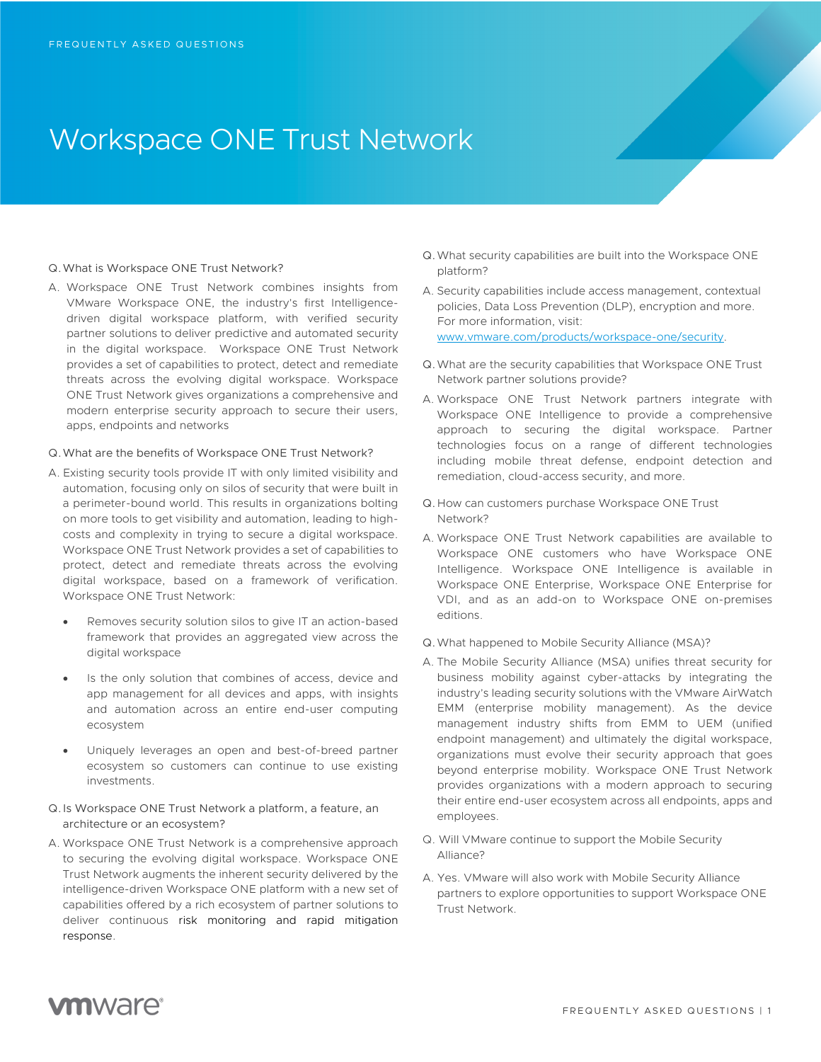# Workspace ONE Trust Network

### Q.What is Workspace ONE Trust Network?

A. Workspace ONE Trust Network combines insights from VMware Workspace ONE, the industry's first Intelligencedriven digital workspace platform, with verified security partner solutions to deliver predictive and automated security in the digital workspace. Workspace ONE Trust Network provides a set of capabilities to protect, detect and remediate threats across the evolving digital workspace. Workspace ONE Trust Network gives organizations a comprehensive and modern enterprise security approach to secure their users, apps, endpoints and networks

#### Q.What are the benefits of Workspace ONE Trust Network?

- A. Existing security tools provide IT with only limited visibility and automation, focusing only on silos of security that were built in a perimeter-bound world. This results in organizations bolting on more tools to get visibility and automation, leading to highcosts and complexity in trying to secure a digital workspace. Workspace ONE Trust Network provides a set of capabilities to protect, detect and remediate threats across the evolving digital workspace, based on a framework of verification. Workspace ONE Trust Network:
	- Removes security solution silos to give IT an action-based framework that provides an aggregated view across the digital workspace
	- Is the only solution that combines of access, device and app management for all devices and apps, with insights and automation across an entire end-user computing ecosystem
	- Uniquely leverages an open and best-of-breed partner ecosystem so customers can continue to use existing investments.
- Q.Is Workspace ONE Trust Network a platform, a feature, an architecture or an ecosystem?
- A. Workspace ONE Trust Network is a comprehensive approach to securing the evolving digital workspace. Workspace ONE Trust Network augments the inherent security delivered by the intelligence-driven Workspace ONE platform with a new set of capabilities offered by a rich ecosystem of partner solutions to deliver continuous risk monitoring and rapid mitigation response.
- Q.What security capabilities are built into the Workspace ONE platform?
- A. Security capabilities include access management, contextual policies, Data Loss Prevention (DLP), encryption and more. For more information, visit: www.vmware.com/products/workspace-one/security.
- Q.What are the security capabilities that Workspace ONE Trust Network partner solutions provide?
- A. Workspace ONE Trust Network partners integrate with Workspace ONE Intelligence to provide a comprehensive approach to securing the digital workspace. Partner technologies focus on a range of different technologies including mobile threat defense, endpoint detection and remediation, cloud-access security, and more.
- Q.How can customers purchase Workspace ONE Trust Network?
- A. Workspace ONE Trust Network capabilities are available to Workspace ONE customers who have Workspace ONE Intelligence. Workspace ONE Intelligence is available in Workspace ONE Enterprise, Workspace ONE Enterprise for VDI, and as an add-on to Workspace ONE on-premises editions.
- Q.What happened to Mobile Security Alliance (MSA)?
- A. The Mobile Security Alliance (MSA) unifies threat security for business mobility against cyber-attacks by integrating the industry's leading security solutions with the VMware AirWatch EMM (enterprise mobility management). As the device management industry shifts from EMM to UEM (unified endpoint management) and ultimately the digital workspace, organizations must evolve their security approach that goes beyond enterprise mobility. Workspace ONE Trust Network provides organizations with a modern approach to securing their entire end-user ecosystem across all endpoints, apps and employees.
- Q. Will VMware continue to support the Mobile Security Alliance?
- A. Yes. VMware will also work with Mobile Security Alliance partners to explore opportunities to support Workspace ONE Trust Network.

## **vm**ware<sup>®</sup>